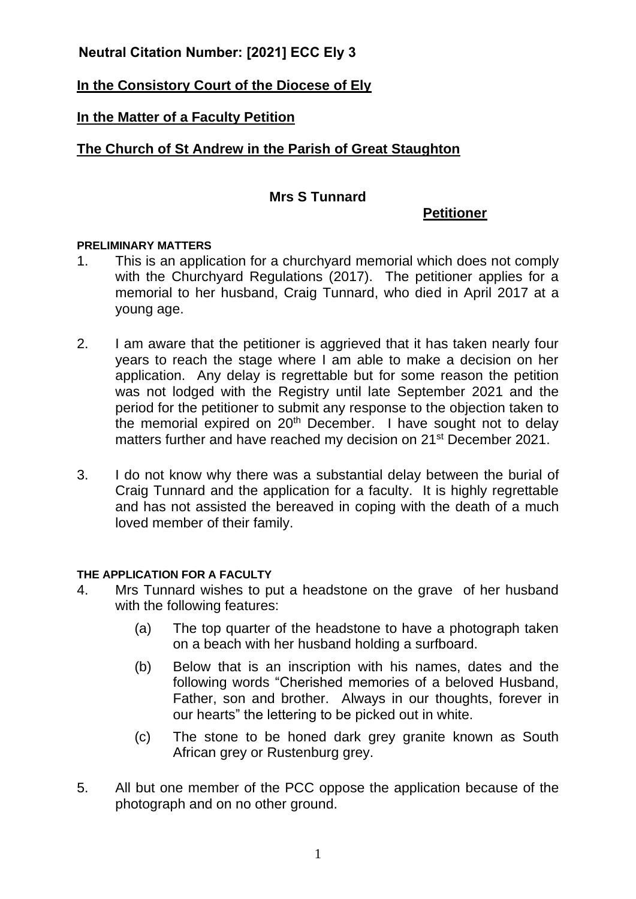# **Neutral Citation Number: [2021] ECC Ely 3**

# **In the Consistory Court of the Diocese of Ely**

## **In the Matter of a Faculty Petition**

# **The Church of St Andrew in the Parish of Great Staughton**

## **Mrs S Tunnard**

### **Petitioner**

### **PRELIMINARY MATTERS**

- 1. This is an application for a churchyard memorial which does not comply with the Churchyard Regulations (2017). The petitioner applies for a memorial to her husband, Craig Tunnard, who died in April 2017 at a young age.
- 2. I am aware that the petitioner is aggrieved that it has taken nearly four years to reach the stage where I am able to make a decision on her application. Any delay is regrettable but for some reason the petition was not lodged with the Registry until late September 2021 and the period for the petitioner to submit any response to the objection taken to the memorial expired on  $20<sup>th</sup>$  December. I have sought not to delay matters further and have reached my decision on 21<sup>st</sup> December 2021.
- 3. I do not know why there was a substantial delay between the burial of Craig Tunnard and the application for a faculty. It is highly regrettable and has not assisted the bereaved in coping with the death of a much loved member of their family.

### **THE APPLICATION FOR A FACULTY**

- 4. Mrs Tunnard wishes to put a headstone on the grave of her husband with the following features:
	- (a) The top quarter of the headstone to have a photograph taken on a beach with her husband holding a surfboard.
	- (b) Below that is an inscription with his names, dates and the following words "Cherished memories of a beloved Husband, Father, son and brother. Always in our thoughts, forever in our hearts" the lettering to be picked out in white.
	- (c) The stone to be honed dark grey granite known as South African grey or Rustenburg grey.
- 5. All but one member of the PCC oppose the application because of the photograph and on no other ground.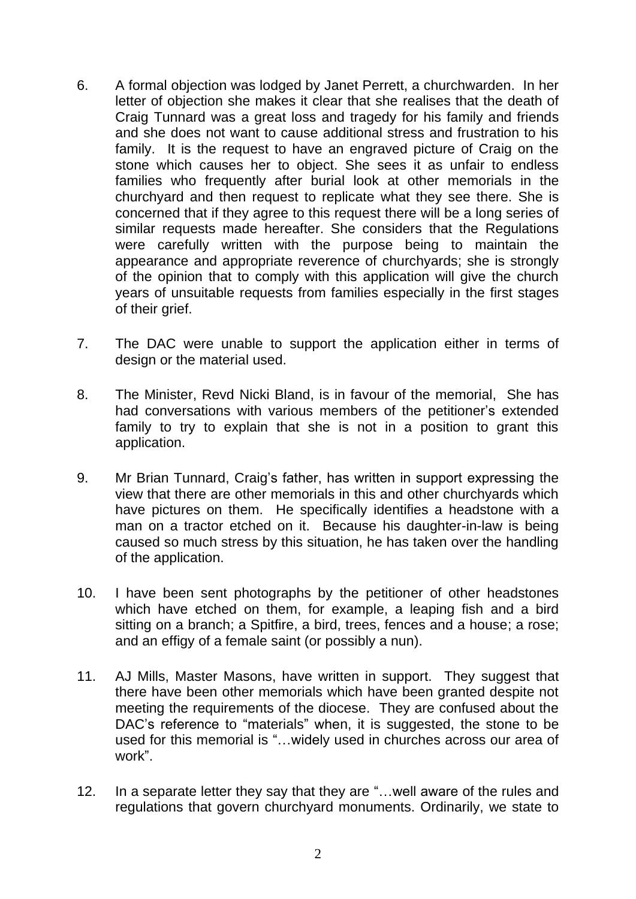- 6. A formal objection was lodged by Janet Perrett, a churchwarden. In her letter of objection she makes it clear that she realises that the death of Craig Tunnard was a great loss and tragedy for his family and friends and she does not want to cause additional stress and frustration to his family. It is the request to have an engraved picture of Craig on the stone which causes her to object. She sees it as unfair to endless families who frequently after burial look at other memorials in the churchyard and then request to replicate what they see there. She is concerned that if they agree to this request there will be a long series of similar requests made hereafter. She considers that the Regulations were carefully written with the purpose being to maintain the appearance and appropriate reverence of churchyards; she is strongly of the opinion that to comply with this application will give the church years of unsuitable requests from families especially in the first stages of their grief.
- 7. The DAC were unable to support the application either in terms of design or the material used.
- 8. The Minister, Revd Nicki Bland, is in favour of the memorial, She has had conversations with various members of the petitioner's extended family to try to explain that she is not in a position to grant this application.
- 9. Mr Brian Tunnard, Craig's father, has written in support expressing the view that there are other memorials in this and other churchyards which have pictures on them. He specifically identifies a headstone with a man on a tractor etched on it. Because his daughter-in-law is being caused so much stress by this situation, he has taken over the handling of the application.
- 10. I have been sent photographs by the petitioner of other headstones which have etched on them, for example, a leaping fish and a bird sitting on a branch; a Spitfire, a bird, trees, fences and a house; a rose; and an effigy of a female saint (or possibly a nun).
- 11. AJ Mills, Master Masons, have written in support. They suggest that there have been other memorials which have been granted despite not meeting the requirements of the diocese. They are confused about the DAC's reference to "materials" when, it is suggested, the stone to be used for this memorial is "…widely used in churches across our area of work".
- 12. In a separate letter they say that they are "…well aware of the rules and regulations that govern churchyard monuments. Ordinarily, we state to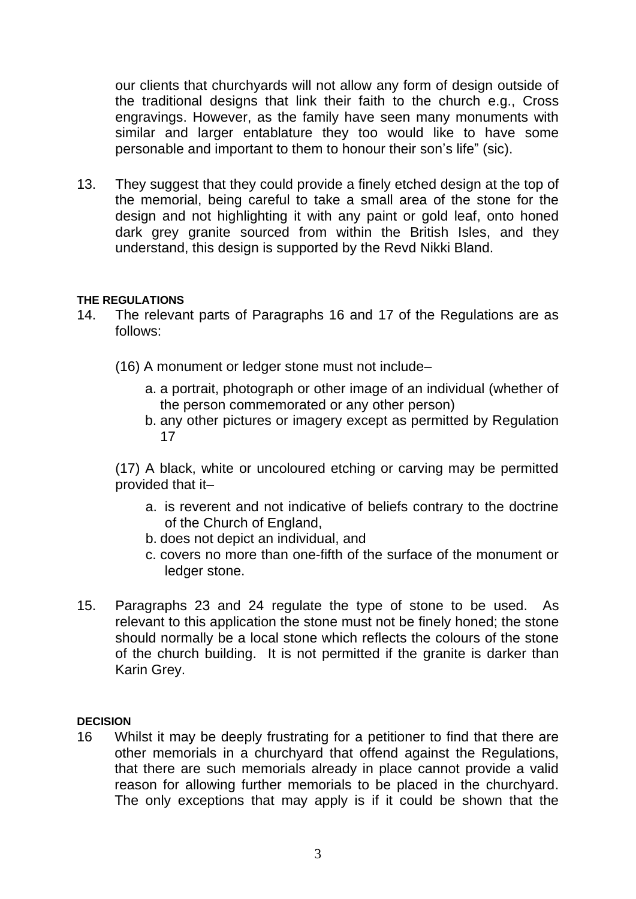our clients that churchyards will not allow any form of design outside of the traditional designs that link their faith to the church e.g., Cross engravings. However, as the family have seen many monuments with similar and larger entablature they too would like to have some personable and important to them to honour their son's life" (sic).

13. They suggest that they could provide a finely etched design at the top of the memorial, being careful to take a small area of the stone for the design and not highlighting it with any paint or gold leaf, onto honed dark grey granite sourced from within the British Isles, and they understand, this design is supported by the Revd Nikki Bland.

### **THE REGULATIONS**

- 14. The relevant parts of Paragraphs 16 and 17 of the Regulations are as follows:
	- (16) A monument or ledger stone must not include–
		- a. a portrait, photograph or other image of an individual (whether of the person commemorated or any other person)
		- b. any other pictures or imagery except as permitted by Regulation 17

(17) A black, white or uncoloured etching or carving may be permitted provided that it–

- a. is reverent and not indicative of beliefs contrary to the doctrine of the Church of England,
- b. does not depict an individual, and
- c. covers no more than one-fifth of the surface of the monument or ledger stone.
- 15. Paragraphs 23 and 24 regulate the type of stone to be used. As relevant to this application the stone must not be finely honed; the stone should normally be a local stone which reflects the colours of the stone of the church building. It is not permitted if the granite is darker than Karin Grey.

#### **DECISION**

16 Whilst it may be deeply frustrating for a petitioner to find that there are other memorials in a churchyard that offend against the Regulations, that there are such memorials already in place cannot provide a valid reason for allowing further memorials to be placed in the churchyard. The only exceptions that may apply is if it could be shown that the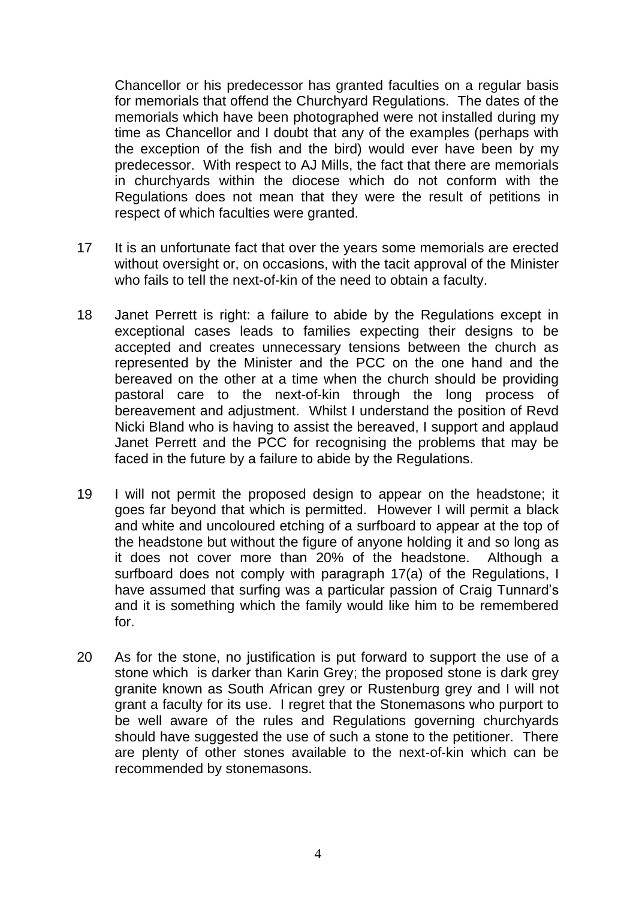Chancellor or his predecessor has granted faculties on a regular basis for memorials that offend the Churchyard Regulations. The dates of the memorials which have been photographed were not installed during my time as Chancellor and I doubt that any of the examples (perhaps with the exception of the fish and the bird) would ever have been by my predecessor. With respect to AJ Mills, the fact that there are memorials in churchyards within the diocese which do not conform with the Regulations does not mean that they were the result of petitions in respect of which faculties were granted.

- 17 It is an unfortunate fact that over the years some memorials are erected without oversight or, on occasions, with the tacit approval of the Minister who fails to tell the next-of-kin of the need to obtain a faculty.
- 18 Janet Perrett is right: a failure to abide by the Regulations except in exceptional cases leads to families expecting their designs to be accepted and creates unnecessary tensions between the church as represented by the Minister and the PCC on the one hand and the bereaved on the other at a time when the church should be providing pastoral care to the next-of-kin through the long process of bereavement and adjustment. Whilst I understand the position of Revd Nicki Bland who is having to assist the bereaved, I support and applaud Janet Perrett and the PCC for recognising the problems that may be faced in the future by a failure to abide by the Regulations.
- 19 I will not permit the proposed design to appear on the headstone; it goes far beyond that which is permitted. However I will permit a black and white and uncoloured etching of a surfboard to appear at the top of the headstone but without the figure of anyone holding it and so long as it does not cover more than 20% of the headstone. Although a surfboard does not comply with paragraph 17(a) of the Regulations, I have assumed that surfing was a particular passion of Craig Tunnard's and it is something which the family would like him to be remembered for.
- 20 As for the stone, no justification is put forward to support the use of a stone which is darker than Karin Grey; the proposed stone is dark grey granite known as South African grey or Rustenburg grey and I will not grant a faculty for its use. I regret that the Stonemasons who purport to be well aware of the rules and Regulations governing churchyards should have suggested the use of such a stone to the petitioner. There are plenty of other stones available to the next-of-kin which can be recommended by stonemasons.